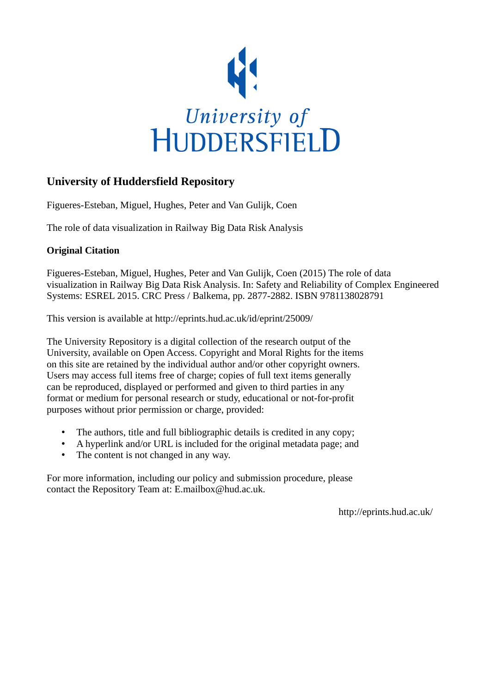

# **University of Huddersfield Repository**

Figueres-Esteban, Miguel, Hughes, Peter and Van Gulijk, Coen

The role of data visualization in Railway Big Data Risk Analysis

# **Original Citation**

Figueres-Esteban, Miguel, Hughes, Peter and Van Gulijk, Coen (2015) The role of data visualization in Railway Big Data Risk Analysis. In: Safety and Reliability of Complex Engineered Systems: ESREL 2015. CRC Press / Balkema, pp. 2877-2882. ISBN 9781138028791

This version is available at http://eprints.hud.ac.uk/id/eprint/25009/

The University Repository is a digital collection of the research output of the University, available on Open Access. Copyright and Moral Rights for the items on this site are retained by the individual author and/or other copyright owners. Users may access full items free of charge; copies of full text items generally can be reproduced, displayed or performed and given to third parties in any format or medium for personal research or study, educational or not-for-profit purposes without prior permission or charge, provided:

- The authors, title and full bibliographic details is credited in any copy;
- A hyperlink and/or URL is included for the original metadata page; and
- The content is not changed in any way.

For more information, including our policy and submission procedure, please contact the Repository Team at: E.mailbox@hud.ac.uk.

http://eprints.hud.ac.uk/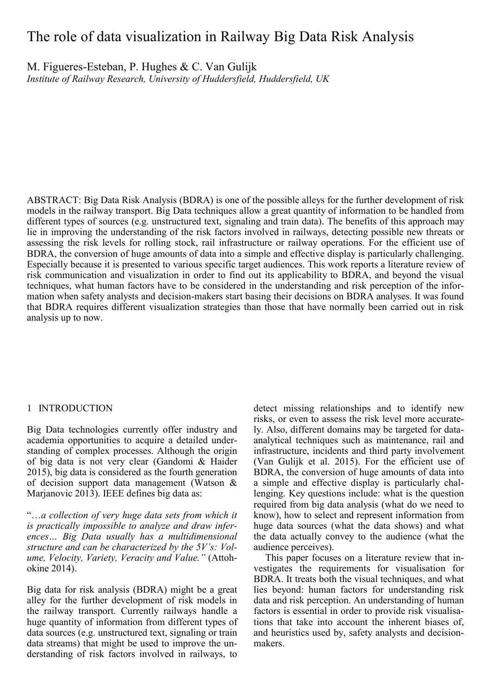# The role of data visualization in Railway Big Data Risk Analysis

M. Figueres-Esteban, P. Hughes & C. Van Gulijk

*Institute of Railway Research, University of Huddersfield, Huddersfield, UK*

ABSTRACT: Big Data Risk Analysis (BDRA) is one of the possible alleys for the further development of risk models in the railway transport. Big Data techniques allow a great quantity of information to be handled from different types of sources (e.g. unstructured text, signaling and train data). The benefits of this approach may lie in improving the understanding of the risk factors involved in railways, detecting possible new threats or assessing the risk levels for rolling stock, rail infrastructure or railway operations. For the efficient use of BDRA, the conversion of huge amounts of data into a simple and effective display is particularly challenging. Especially because it is presented to various specific target audiences. This work reports a literature review of risk communication and visualization in order to find out its applicability to BDRA, and beyond the visual techniques, what human factors have to be considered in the understanding and risk perception of the information when safety analysts and decision-makers start basing their decisions on BDRA analyses. It was found that BDRA requires different visualization strategies than those that have normally been carried out in risk analysis up to now.

# 1 INTRODUCTION

Big Data technologies currently offer industry and academia opportunities to acquire a detailed understanding of complex processes. Although the origin of big data is not very clear (Gandomi & Haider 2015), big data is considered as the fourth generation of decision support data management (Watson & Marjanovic 2013). IEEE defines big data as:

"…*a collection of very huge data sets from which it is practically impossible to analyze and draw inferences… Big Data usually has a multidimensional structure and can be characterized by the 5V's: Volume, Velocity, Variety, Veracity and Value."* (Attohokine 2014).

Big data for risk analysis (BDRA) might be a great alley for the further development of risk models in the railway transport. Currently railways handle a huge quantity of information from different types of data sources (e.g. unstructured text, signaling or train data streams) that might be used to improve the understanding of risk factors involved in railways, to detect missing relationships and to identify new risks, or even to assess the risk level more accurately. Also, different domains may be targeted for dataanalytical techniques such as maintenance, rail and infrastructure, incidents and third party involvement (Van Gulijk et al. 2015). For the efficient use of BDRA, the conversion of huge amounts of data into a simple and effective display is particularly challenging. Key questions include: what is the question required from big data analysis (what do we need to know), how to select and represent information from huge data sources (what the data shows) and what the data actually convey to the audience (what the audience perceives).

This paper focuses on a literature review that investigates the requirements for visualisation for BDRA. It treats both the visual techniques, and what lies beyond: human factors for understanding risk data and risk perception. An understanding of human factors is essential in order to provide risk visualisations that take into account the inherent biases of, and heuristics used by, safety analysts and decisionmakers.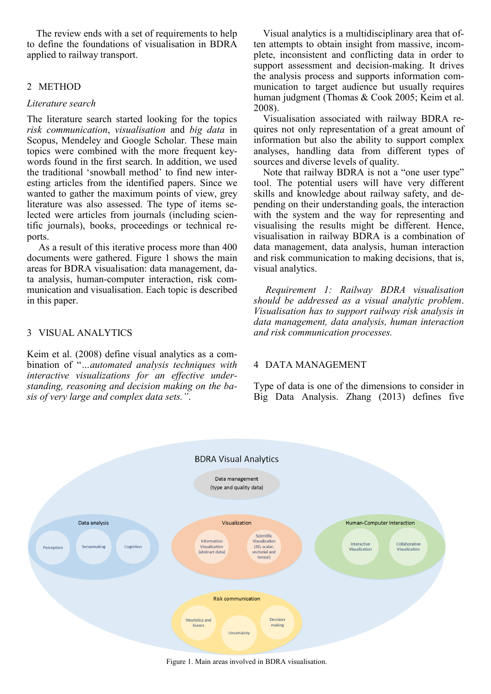The review ends with a set of requirements to help to define the foundations of visualisation in BDRA applied to railway transport.

### 2 METHOD

#### *Literature search*

The literature search started looking for the topics *risk communication*, *visualisation* and *big data* in Scopus, Mendeley and Google Scholar. These main topics were combined with the more frequent keywords found in the first search. In addition, we used the traditional 'snowball method' to find new interesting articles from the identified papers. Since we wanted to gather the maximum points of view, grey literature was also assessed. The type of items selected were articles from journals (including scientific journals), books, proceedings or technical reports.

As a result of this iterative process more than 400 documents were gathered. Figure 1 shows the main areas for BDRA visualisation: data management, data analysis, human-computer interaction, risk communication and visualisation. Each topic is described in this paper.

### 3 VISUAL ANALYTICS

Keim et al. (2008) define visual analytics as a combination of "*…automated analysis techniques with interactive visualizations for an effective understanding, reasoning and decision making on the basis of very large and complex data sets."*.

Visual analytics is a multidisciplinary area that often attempts to obtain insight from massive, incomplete, inconsistent and conflicting data in order to support assessment and decision-making. It drives the analysis process and supports information communication to target audience but usually requires human judgment (Thomas & Cook 2005; Keim et al. 2008).

Visualisation associated with railway BDRA requires not only representation of a great amount of information but also the ability to support complex analyses, handling data from different types of sources and diverse levels of quality.

Note that railway BDRA is not a "one user type" tool. The potential users will have very different skills and knowledge about railway safety, and depending on their understanding goals, the interaction with the system and the way for representing and visualising the results might be different. Hence, visualisation in railway BDRA is a combination of data management, data analysis, human interaction and risk communication to making decisions, that is, visual analytics.

*Requirement 1: Railway BDRA visualisation should be addressed as a visual analytic problem*. *Visualisation has to support railway risk analysis in data management, data analysis, human interaction and risk communication processes.*

#### 4 DATA MANAGEMENT

Type of data is one of the dimensions to consider in Big Data Analysis. Zhang (2013) defines five



Figure 1. Main areas involved in BDRA visualisation.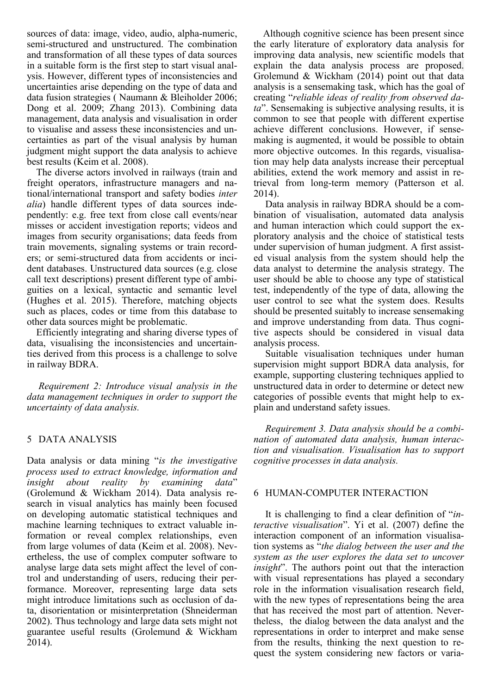sources of data: image, video, audio, alpha-numeric, semi-structured and unstructured. The combination and transformation of all these types of data sources in a suitable form is the first step to start visual analysis. However, different types of inconsistencies and uncertainties arise depending on the type of data and data fusion strategies ( Naumann & Bleiholder 2006; Dong et al. 2009; Zhang 2013). Combining data management, data analysis and visualisation in order to visualise and assess these inconsistencies and uncertainties as part of the visual analysis by human judgment might support the data analysis to achieve best results (Keim et al. 2008).

The diverse actors involved in railways (train and freight operators, infrastructure managers and national/international transport and safety bodies *inter alia*) handle different types of data sources independently: e.g. free text from close call events/near misses or accident investigation reports; videos and images from security organisations; data feeds from train movements, signaling systems or train recorders; or semi-structured data from accidents or incident databases. Unstructured data sources (e.g. close call text descriptions) present different type of ambiguities on a lexical, syntactic and semantic level (Hughes et al. 2015). Therefore, matching objects such as places, codes or time from this database to other data sources might be problematic.

Efficiently integrating and sharing diverse types of data, visualising the inconsistencies and uncertainties derived from this process is a challenge to solve in railway BDRA.

*Requirement 2: Introduce visual analysis in the data management techniques in order to support the uncertainty of data analysis.* 

# 5 DATA ANALYSIS

Data analysis or data mining "*is the investigative process used to extract knowledge, information and insight about reality by examining data*" (Grolemund & Wickham 2014). Data analysis research in visual analytics has mainly been focused on developing automatic statistical techniques and machine learning techniques to extract valuable information or reveal complex relationships, even from large volumes of data (Keim et al. 2008). Nevertheless, the use of complex computer software to analyse large data sets might affect the level of control and understanding of users, reducing their performance. Moreover, representing large data sets might introduce limitations such as occlusion of data, disorientation or misinterpretation (Shneiderman 2002). Thus technology and large data sets might not guarantee useful results (Grolemund & Wickham 2014).

Although cognitive science has been present since the early literature of exploratory data analysis for improving data analysis, new scientific models that explain the data analysis process are proposed. Grolemund & Wickham (2014) point out that data analysis is a sensemaking task, which has the goal of creating "*reliable ideas of reality from observed data*". Sensemaking is subjective analysing results, it is common to see that people with different expertise achieve different conclusions. However, if sensemaking is augmented, it would be possible to obtain more objective outcomes. In this regards, visualisation may help data analysts increase their perceptual abilities, extend the work memory and assist in retrieval from long-term memory (Patterson et al. 2014).

Data analysis in railway BDRA should be a combination of visualisation, automated data analysis and human interaction which could support the exploratory analysis and the choice of statistical tests under supervision of human judgment. A first assisted visual analysis from the system should help the data analyst to determine the analysis strategy. The user should be able to choose any type of statistical test, independently of the type of data, allowing the user control to see what the system does. Results should be presented suitably to increase sensemaking and improve understanding from data. Thus cognitive aspects should be considered in visual data analysis process.

Suitable visualisation techniques under human supervision might support BDRA data analysis, for example, supporting clustering techniques applied to unstructured data in order to determine or detect new categories of possible events that might help to explain and understand safety issues.

*Requirement 3. Data analysis should be a combination of automated data analysis, human interaction and visualisation. Visualisation has to support cognitive processes in data analysis.* 

#### 6 HUMAN-COMPUTER INTERACTION

It is challenging to find a clear definition of "*interactive visualisation*". Yi et al. (2007) define the interaction component of an information visualisation systems as "*the dialog between the user and the system as the user explores the data set to uncover insight*". The authors point out that the interaction with visual representations has played a secondary role in the information visualisation research field, with the new types of representations being the area that has received the most part of attention. Nevertheless, the dialog between the data analyst and the representations in order to interpret and make sense from the results, thinking the next question to request the system considering new factors or varia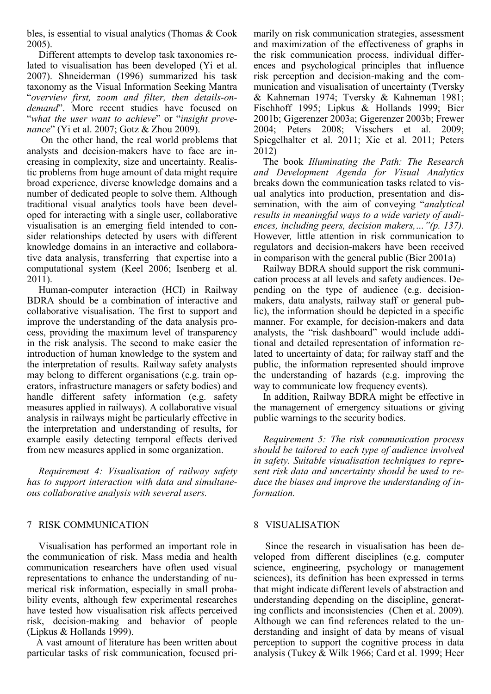bles, is essential to visual analytics (Thomas & Cook 2005).

Different attempts to develop task taxonomies related to visualisation has been developed (Yi et al. 2007). Shneiderman (1996) summarized his task taxonomy as the Visual Information Seeking Mantra "*overview first, zoom and filter, then details-ondemand*". More recent studies have focused on "*what the user want to achieve*" or "*insight provenance*" (Yi et al. 2007; Gotz & Zhou 2009).

On the other hand, the real world problems that analysts and decision-makers have to face are increasing in complexity, size and uncertainty. Realistic problems from huge amount of data might require broad experience, diverse knowledge domains and a number of dedicated people to solve them. Although traditional visual analytics tools have been developed for interacting with a single user, collaborative visualisation is an emerging field intended to consider relationships detected by users with different knowledge domains in an interactive and collaborative data analysis, transferring that expertise into a computational system (Keel 2006; Isenberg et al. 2011).

Human-computer interaction (HCI) in Railway BDRA should be a combination of interactive and collaborative visualisation. The first to support and improve the understanding of the data analysis process, providing the maximum level of transparency in the risk analysis. The second to make easier the introduction of human knowledge to the system and the interpretation of results. Railway safety analysts may belong to different organisations (e.g. train operators, infrastructure managers or safety bodies) and handle different safety information (e.g. safety measures applied in railways). A collaborative visual analysis in railways might be particularly effective in the interpretation and understanding of results, for example easily detecting temporal effects derived from new measures applied in some organization.

*Requirement 4: Visualisation of railway safety has to support interaction with data and simultaneous collaborative analysis with several users.* 

#### 7 RISK COMMUNICATION

Visualisation has performed an important role in the communication of risk. Mass media and health communication researchers have often used visual representations to enhance the understanding of numerical risk information, especially in small probability events, although few experimental researches have tested how visualisation risk affects perceived risk, decision-making and behavior of people (Lipkus & Hollands 1999).

A vast amount of literature has been written about particular tasks of risk communication, focused primarily on risk communication strategies, assessment and maximization of the effectiveness of graphs in the risk communication process, individual differences and psychological principles that influence risk perception and decision-making and the communication and visualisation of uncertainty (Tversky & Kahneman 1974; Tversky & Kahneman 1981; Fischhoff 1995; Lipkus & Hollands 1999; Bier 2001b; Gigerenzer 2003a; Gigerenzer 2003b; Frewer 2004; Peters 2008; Visschers et al. 2009; Spiegelhalter et al. 2011; Xie et al. 2011; Peters 2012)

The book *Illuminating the Path: The Research and Development Agenda for Visual Analytics* breaks down the communication tasks related to visual analytics into production, presentation and dissemination, with the aim of conveying "*analytical results in meaningful ways to a wide variety of audiences, including peers, decision makers,…"(p. 137).*  However*,* little attention in risk communication to regulators and decision-makers have been received in comparison with the general public (Bier 2001a)

Railway BDRA should support the risk communication process at all levels and safety audiences. Depending on the type of audience (e.g. decisionmakers, data analysts, railway staff or general public), the information should be depicted in a specific manner. For example, for decision-makers and data analysts, the "risk dashboard" would include additional and detailed representation of information related to uncertainty of data; for railway staff and the public, the information represented should improve the understanding of hazards (e.g. improving the way to communicate low frequency events).

In addition, Railway BDRA might be effective in the management of emergency situations or giving public warnings to the security bodies.

*Requirement 5: The risk communication process should be tailored to each type of audience involved in safety. Suitable visualisation techniques to represent risk data and uncertainty should be used to reduce the biases and improve the understanding of information.*

#### 8 VISUALISATION

Since the research in visualisation has been developed from different disciplines (e.g. computer science, engineering, psychology or management sciences), its definition has been expressed in terms that might indicate different levels of abstraction and understanding depending on the discipline, generating conflicts and inconsistencies (Chen et al. 2009). Although we can find references related to the understanding and insight of data by means of visual perception to support the cognitive process in data analysis (Tukey & Wilk 1966; Card et al. 1999; Heer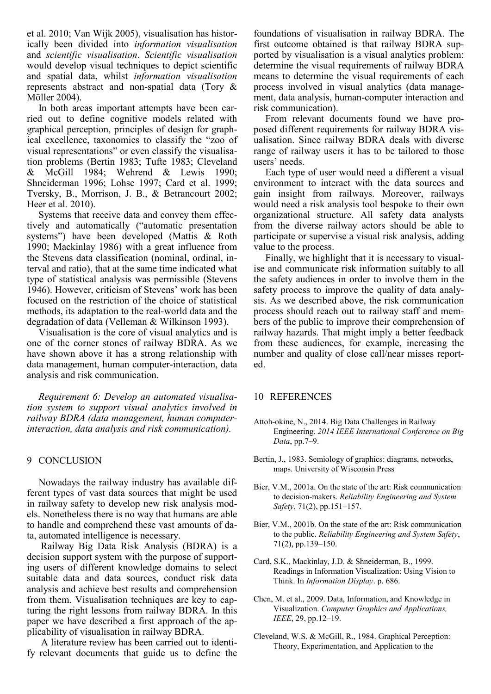et al. 2010; Van Wijk 2005), visualisation has historically been divided into *information visualisation* and *scientific visualisation*. *Scientific visualisation* would develop visual techniques to depict scientific and spatial data, whilst *information visualisation* represents abstract and non-spatial data (Tory & Möller 2004).

In both areas important attempts have been carried out to define cognitive models related with graphical perception, principles of design for graphical excellence, taxonomies to classify the "zoo of visual representations" or even classify the visualisation problems (Bertin 1983; Tufte 1983; Cleveland & McGill 1984; Wehrend & Lewis 1990; Shneiderman 1996; Lohse 1997; Card et al. 1999; Tversky, B., Morrison, J. B., & Betrancourt 2002; Heer et al. 2010).

Systems that receive data and convey them effectively and automatically ("automatic presentation systems") have been developed (Mattis & Roth 1990; Mackinlay 1986) with a great influence from the Stevens data classification (nominal, ordinal, interval and ratio), that at the same time indicated what type of statistical analysis was permissible (Stevens 1946). However, criticism of Stevens' work has been focused on the restriction of the choice of statistical methods, its adaptation to the real-world data and the degradation of data (Velleman & Wilkinson 1993).

Visualisation is the core of visual analytics and is one of the corner stones of railway BDRA. As we have shown above it has a strong relationship with data management, human computer-interaction, data analysis and risk communication.

*Requirement 6: Develop an automated visualisation system to support visual analytics involved in railway BDRA (data management, human computerinteraction, data analysis and risk communication).* 

#### 9 CONCLUSION

Nowadays the railway industry has available different types of vast data sources that might be used in railway safety to develop new risk analysis models. Nonetheless there is no way that humans are able to handle and comprehend these vast amounts of data, automated intelligence is necessary.

Railway Big Data Risk Analysis (BDRA) is a decision support system with the purpose of supporting users of different knowledge domains to select suitable data and data sources, conduct risk data analysis and achieve best results and comprehension from them. Visualisation techniques are key to capturing the right lessons from railway BDRA. In this paper we have described a first approach of the applicability of visualisation in railway BDRA.

A literature review has been carried out to identify relevant documents that guide us to define the foundations of visualisation in railway BDRA. The first outcome obtained is that railway BDRA supported by visualisation is a visual analytics problem: determine the visual requirements of railway BDRA means to determine the visual requirements of each process involved in visual analytics (data management, data analysis, human-computer interaction and risk communication).

From relevant documents found we have proposed different requirements for railway BDRA visualisation. Since railway BDRA deals with diverse range of railway users it has to be tailored to those users' needs.

Each type of user would need a different a visual environment to interact with the data sources and gain insight from railways. Moreover, railways would need a risk analysis tool bespoke to their own organizational structure. All safety data analysts from the diverse railway actors should be able to participate or supervise a visual risk analysis, adding value to the process.

Finally, we highlight that it is necessary to visualise and communicate risk information suitably to all the safety audiences in order to involve them in the safety process to improve the quality of data analysis. As we described above, the risk communication process should reach out to railway staff and members of the public to improve their comprehension of railway hazards. That might imply a better feedback from these audiences, for example, increasing the number and quality of close call/near misses reported.

#### 10 REFERENCES

- Attoh-okine, N., 2014. Big Data Challenges in Railway Engineering. *2014 IEEE International Conference on Big Data*, pp.7–9.
- Bertin, J., 1983. Semiology of graphics: diagrams, networks, maps. University of Wisconsin Press
- Bier, V.M., 2001a. On the state of the art: Risk communication to decision-makers. *Reliability Engineering and System Safety*, 71(2), pp.151–157.
- Bier, V.M., 2001b. On the state of the art: Risk communication to the public. *Reliability Engineering and System Safety*, 71(2), pp.139–150.
- Card, S.K., Mackinlay, J.D. & Shneiderman, B., 1999. Readings in Information Visualization: Using Vision to Think. In *Information Display*. p. 686.
- Chen, M. et al., 2009. Data, Information, and Knowledge in Visualization. *Computer Graphics and Applications, IEEE*, 29, pp.12–19.
- Cleveland, W.S. & McGill, R., 1984. Graphical Perception: Theory, Experimentation, and Application to the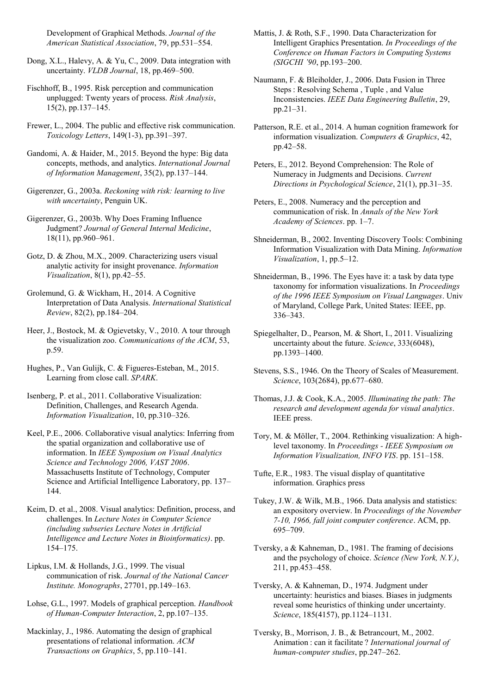Development of Graphical Methods. *Journal of the American Statistical Association*, 79, pp.531–554.

Dong, X.L., Halevy, A. & Yu, C., 2009. Data integration with uncertainty. *VLDB Journal*, 18, pp.469–500.

Fischhoff, B., 1995. Risk perception and communication unplugged: Twenty years of process. *Risk Analysis*, 15(2), pp.137–145.

Frewer, L., 2004. The public and effective risk communication. *Toxicology Letters*, 149(1-3), pp.391–397.

Gandomi, A. & Haider, M., 2015. Beyond the hype: Big data concepts, methods, and analytics. *International Journal of Information Management*, 35(2), pp.137–144.

Gigerenzer, G., 2003a. *Reckoning with risk: learning to live with uncertainty*, Penguin UK.

Gigerenzer, G., 2003b. Why Does Framing Influence Judgment? *Journal of General Internal Medicine*, 18(11), pp.960–961.

Gotz, D. & Zhou, M.X., 2009. Characterizing users visual analytic activity for insight provenance. *Information Visualization*, 8(1), pp.42–55.

Grolemund, G. & Wickham, H., 2014. A Cognitive Interpretation of Data Analysis. *International Statistical Review*, 82(2), pp.184–204.

Heer, J., Bostock, M. & Ogievetsky, V., 2010. A tour through the visualization zoo. *Communications of the ACM*, 53, p.59.

Hughes, P., Van Gulijk, C. & Figueres-Esteban, M., 2015. Learning from close call. *SPARK*.

Isenberg, P. et al., 2011. Collaborative Visualization: Definition, Challenges, and Research Agenda. *Information Visualization*, 10, pp.310–326.

Keel, P.E., 2006. Collaborative visual analytics: Inferring from the spatial organization and collaborative use of information. In *IEEE Symposium on Visual Analytics Science and Technology 2006, VAST 2006*. Massachusetts Institute of Technology, Computer Science and Artificial Intelligence Laboratory, pp. 137– 144.

Keim, D. et al., 2008. Visual analytics: Definition, process, and challenges. In *Lecture Notes in Computer Science (including subseries Lecture Notes in Artificial Intelligence and Lecture Notes in Bioinformatics)*. pp. 154–175.

Lipkus, I.M. & Hollands, J.G., 1999. The visual communication of risk. *Journal of the National Cancer Institute. Monographs*, 27701, pp.149–163.

Lohse, G.L., 1997. Models of graphical perception. *Handbook of Human-Computer Interaction*, 2, pp.107–135.

Mackinlay, J., 1986. Automating the design of graphical presentations of relational information. *ACM Transactions on Graphics*, 5, pp.110–141.

Mattis, J. & Roth, S.F., 1990. Data Characterization for Intelligent Graphics Presentation. *In Proceedings of the Conference on Human Factors in Computing Systems (SIGCHI '90*, pp.193–200.

Naumann, F. & Bleiholder, J., 2006. Data Fusion in Three Steps : Resolving Schema , Tuple , and Value Inconsistencies. *IEEE Data Engineering Bulletin*, 29, pp.21–31.

Patterson, R.E. et al., 2014. A human cognition framework for information visualization. *Computers & Graphics*, 42, pp.42–58.

Peters, E., 2012. Beyond Comprehension: The Role of Numeracy in Judgments and Decisions. *Current Directions in Psychological Science*, 21(1), pp.31–35.

Peters, E., 2008. Numeracy and the perception and communication of risk. In *Annals of the New York Academy of Sciences*. pp. 1–7.

Shneiderman, B., 2002. Inventing Discovery Tools: Combining Information Visualization with Data Mining. *Information Visualization*, 1, pp.5–12.

Shneiderman, B., 1996. The Eyes have it: a task by data type taxonomy for information visualizations. In *Proceedings of the 1996 IEEE Symposium on Visual Languages*. Univ of Maryland, College Park, United States: IEEE, pp. 336–343.

Spiegelhalter, D., Pearson, M. & Short, I., 2011. Visualizing uncertainty about the future. *Science*, 333(6048), pp.1393–1400.

Stevens, S.S., 1946. On the Theory of Scales of Measurement. *Science*, 103(2684), pp.677–680.

Thomas, J.J. & Cook, K.A., 2005. *Illuminating the path: The research and development agenda for visual analytics*. IEEE press.

Tory, M. & Möller, T., 2004. Rethinking visualization: A highlevel taxonomy. In *Proceedings - IEEE Symposium on Information Visualization, INFO VIS*. pp. 151–158.

Tufte, E.R., 1983. The visual display of quantitative information. Graphics press

Tukey, J.W. & Wilk, M.B., 1966. Data analysis and statistics: an expository overview. In *Proceedings of the November 7-10, 1966, fall joint computer conference*. ACM, pp. 695–709.

Tversky, a & Kahneman, D., 1981. The framing of decisions and the psychology of choice. *Science (New York, N.Y.)*, 211, pp.453–458.

Tversky, A. & Kahneman, D., 1974. Judgment under uncertainty: heuristics and biases. Biases in judgments reveal some heuristics of thinking under uncertainty. *Science*, 185(4157), pp.1124–1131.

Tversky, B., Morrison, J. B., & Betrancourt, M., 2002. Animation : can it facilitate ? *International journal of human-computer studies*, pp.247–262.